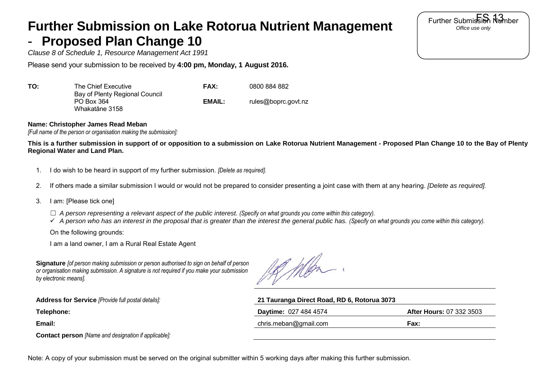## **Further Submission on Lake Rotorua Nutrient Management**  - **Proposed Plan Change 10**

*Clause 8 of Schedule 1, Resource Management Act 1991*

Please send your submission to be received by **4:00 pm, Monday, 1 August 2016.** 

| ΤΟ: | The Chief Executive                                            | FAX:   | 0800 884 882        |
|-----|----------------------------------------------------------------|--------|---------------------|
|     | Bay of Plenty Regional Council<br>PO Box 364<br>Whakatāne 3158 | EMAIL: | rules@boprc.govt.nz |

## **Name: Christopher James Read Meban**

*[Full name of the person or organisation making the submission]:*

**This is a further submission in support of or opposition to a submission on Lake Rotorua Nutrient Management - Proposed Plan Change 10 to the Bay of Plenty Regional Water and Land Plan.** 

- 1. I do wish to be heard in support of my further submission. *[Delete as required].*
- 2. If others made a similar submission I would or would not be prepared to consider presenting a joint case with them at any hearing. *[Delete as required].*
- 3. I am: [Please tick one]
	- ☐ *A person representing a relevant aspect of the public interest. (Specify on what grounds you come within this category).*

*A person who has an interest in the proposal that is greater than the interest the general public has. (Specify on what grounds you come within this category).*

On the following grounds:

I am a land owner, I am a Rural Real Estate Agent

**Signature** *[of person making submission or person authorised to sign on behalf of person or organisation making submission. A signature is not required if you make your submission by electronic means].*

18 Men

| 21 Tauranga Direct Road, RD 6, Rotorua 3073 |                                 |  |
|---------------------------------------------|---------------------------------|--|
| <b>Daytime: 027 484 4574</b>                | <b>After Hours: 07 332 3503</b> |  |
| chris.meban@gmail.com                       | Fax:                            |  |
|                                             |                                 |  |

**Contact person** *[Name and designation if applicable]:*

Note: A copy of your submission must be served on the original submitter within 5 working days after making this further submission.

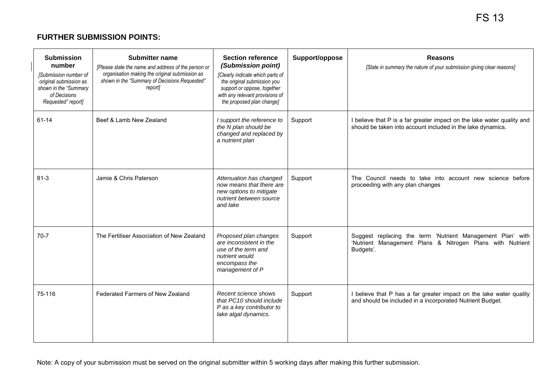## **FURTHER SUBMISSION POINTS:**

| <b>Submission</b><br>number<br>[Submission number of<br>original submission as<br>shown in the "Summary<br>of Decisions<br>Requested" report] | <b>Submitter name</b><br>[Please state the name and address of the person or<br>organisation making the original submission as<br>shown in the "Summary of Decisions Requested"<br>report] | <b>Section reference</b><br>(Submission point)<br>[Clearly indicate which parts of<br>the original submission you<br>support or oppose, together<br>with any relevant provisions of<br>the proposed plan change] | Support/oppose | <b>Reasons</b><br>[State in summary the nature of your submission giving clear reasons]                                               |
|-----------------------------------------------------------------------------------------------------------------------------------------------|--------------------------------------------------------------------------------------------------------------------------------------------------------------------------------------------|------------------------------------------------------------------------------------------------------------------------------------------------------------------------------------------------------------------|----------------|---------------------------------------------------------------------------------------------------------------------------------------|
| 61-14                                                                                                                                         | Beef & Lamb New Zealand                                                                                                                                                                    | I support the reference to<br>the N plan should be<br>changed and replaced by<br>a nutrient plan                                                                                                                 | Support        | I believe that P is a far greater impact on the lake water quality and<br>should be taken into account included in the lake dynamics. |
| $81 - 3$                                                                                                                                      | Jamie & Chris Paterson                                                                                                                                                                     | Attenuation has changed<br>now means that there are<br>new options to mitigate<br>nutrient between source<br>and lake                                                                                            | Support        | The Council needs to take into account new science before<br>proceeding with any plan changes                                         |
| $70-7$                                                                                                                                        | The Fertiliser Association of New Zealand                                                                                                                                                  | Proposed plan changes<br>are inconsistent in the<br>use of the term and<br>nutrient would<br>encompass the<br>management of P                                                                                    | Support        | Suggest replacing the term 'Nutrient Management Plan' with<br>'Nutrient Management Plans & Nitrogen Plans with Nutrient<br>Budgets'.  |
| 75-116                                                                                                                                        | Federated Farmers of New Zealand                                                                                                                                                           | Recent science shows<br>that PC10 should include<br>P as a key contributor to<br>lake algal dynamics.                                                                                                            | Support        | I believe that P has a far greater impact on the lake water quality<br>and should be included in a incorporated Nutrient Budget.      |

Note: A copy of your submission must be served on the original submitter within 5 working days after making this further submission.